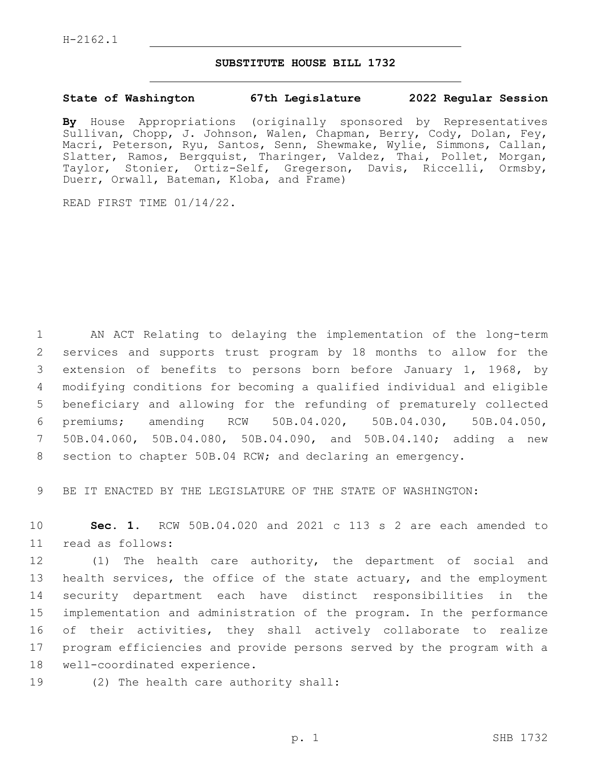## **SUBSTITUTE HOUSE BILL 1732**

## **State of Washington 67th Legislature 2022 Regular Session**

**By** House Appropriations (originally sponsored by Representatives Sullivan, Chopp, J. Johnson, Walen, Chapman, Berry, Cody, Dolan, Fey, Macri, Peterson, Ryu, Santos, Senn, Shewmake, Wylie, Simmons, Callan, Slatter, Ramos, Bergquist, Tharinger, Valdez, Thai, Pollet, Morgan, Taylor, Stonier, Ortiz-Self, Gregerson, Davis, Riccelli, Ormsby, Duerr, Orwall, Bateman, Kloba, and Frame)

READ FIRST TIME 01/14/22.

 AN ACT Relating to delaying the implementation of the long-term services and supports trust program by 18 months to allow for the extension of benefits to persons born before January 1, 1968, by modifying conditions for becoming a qualified individual and eligible beneficiary and allowing for the refunding of prematurely collected premiums; amending RCW 50B.04.020, 50B.04.030, 50B.04.050, 50B.04.060, 50B.04.080, 50B.04.090, and 50B.04.140; adding a new section to chapter 50B.04 RCW; and declaring an emergency.

9 BE IT ENACTED BY THE LEGISLATURE OF THE STATE OF WASHINGTON:

10 **Sec. 1.** RCW 50B.04.020 and 2021 c 113 s 2 are each amended to 11 read as follows:

 (1) The health care authority, the department of social and health services, the office of the state actuary, and the employment security department each have distinct responsibilities in the implementation and administration of the program. In the performance of their activities, they shall actively collaborate to realize program efficiencies and provide persons served by the program with a 18 well-coordinated experience.

19 (2) The health care authority shall: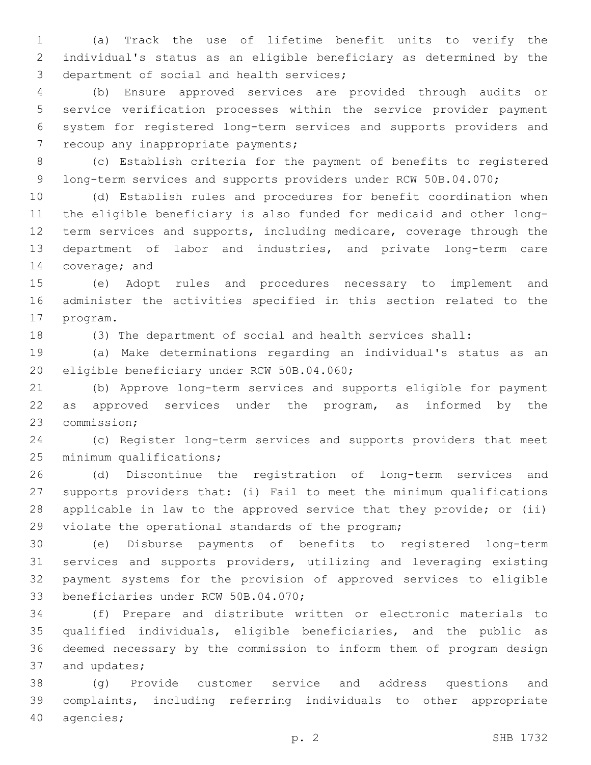(a) Track the use of lifetime benefit units to verify the individual's status as an eligible beneficiary as determined by the 3 department of social and health services;

 (b) Ensure approved services are provided through audits or service verification processes within the service provider payment system for registered long-term services and supports providers and 7 recoup any inappropriate payments;

 (c) Establish criteria for the payment of benefits to registered 9 long-term services and supports providers under RCW 50B.04.070;

 (d) Establish rules and procedures for benefit coordination when the eligible beneficiary is also funded for medicaid and other long-12 term services and supports, including medicare, coverage through the department of labor and industries, and private long-term care 14 coverage; and

 (e) Adopt rules and procedures necessary to implement and administer the activities specified in this section related to the 17 program.

(3) The department of social and health services shall:

 (a) Make determinations regarding an individual's status as an 20 eligible beneficiary under RCW 50B.04.060;

 (b) Approve long-term services and supports eligible for payment 22 as approved services under the program, as informed by the 23 commission;

 (c) Register long-term services and supports providers that meet 25 minimum qualifications;

 (d) Discontinue the registration of long-term services and supports providers that: (i) Fail to meet the minimum qualifications applicable in law to the approved service that they provide; or (ii) 29 violate the operational standards of the program;

 (e) Disburse payments of benefits to registered long-term services and supports providers, utilizing and leveraging existing payment systems for the provision of approved services to eligible 33 beneficiaries under RCW 50B.04.070;

 (f) Prepare and distribute written or electronic materials to qualified individuals, eligible beneficiaries, and the public as deemed necessary by the commission to inform them of program design 37 and updates;

 (g) Provide customer service and address questions and complaints, including referring individuals to other appropriate 40 agencies;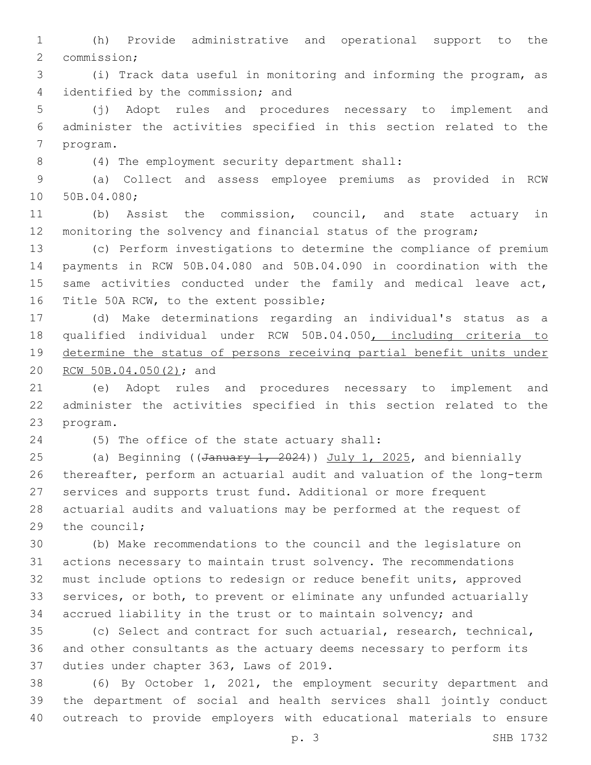(h) Provide administrative and operational support to the 2 commission;

 (i) Track data useful in monitoring and informing the program, as 4 identified by the commission; and

 (j) Adopt rules and procedures necessary to implement and administer the activities specified in this section related to the 7 program.

(4) The employment security department shall:8

 (a) Collect and assess employee premiums as provided in RCW 10 50B.04.080;

 (b) Assist the commission, council, and state actuary in monitoring the solvency and financial status of the program;

 (c) Perform investigations to determine the compliance of premium payments in RCW 50B.04.080 and 50B.04.090 in coordination with the 15 same activities conducted under the family and medical leave act, 16 Title 50A RCW, to the extent possible;

 (d) Make determinations regarding an individual's status as a qualified individual under RCW 50B.04.050, including criteria to determine the status of persons receiving partial benefit units under 20 RCW 50B.04.050(2); and

 (e) Adopt rules and procedures necessary to implement and administer the activities specified in this section related to the 23 program.

(5) The office of the state actuary shall:24

25 (a) Beginning ((January 1, 2024)) July 1, 2025, and biennially thereafter, perform an actuarial audit and valuation of the long-term services and supports trust fund. Additional or more frequent actuarial audits and valuations may be performed at the request of the council;

 (b) Make recommendations to the council and the legislature on actions necessary to maintain trust solvency. The recommendations must include options to redesign or reduce benefit units, approved services, or both, to prevent or eliminate any unfunded actuarially accrued liability in the trust or to maintain solvency; and

 (c) Select and contract for such actuarial, research, technical, and other consultants as the actuary deems necessary to perform its 37 duties under chapter 363, Laws of 2019.

 (6) By October 1, 2021, the employment security department and the department of social and health services shall jointly conduct outreach to provide employers with educational materials to ensure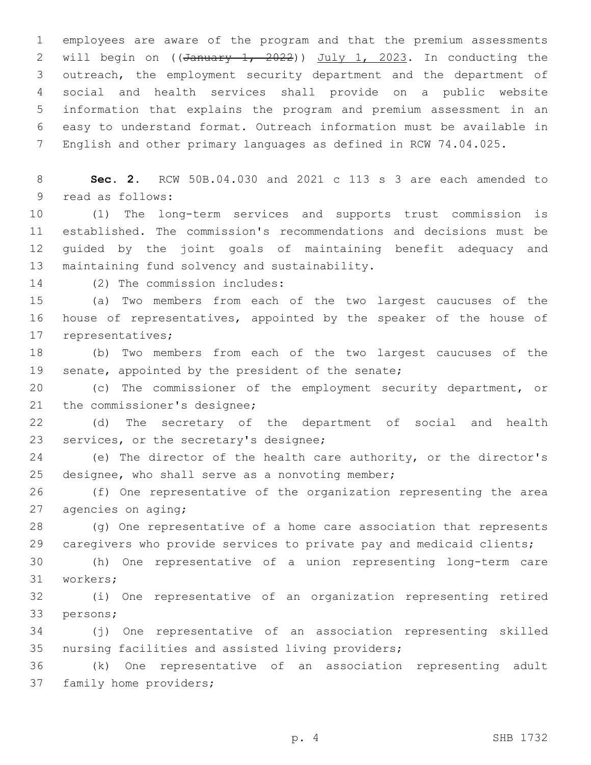employees are aware of the program and that the premium assessments 2 will begin on  $((\text{January } 1, 2022))$  July 1, 2023. In conducting the outreach, the employment security department and the department of social and health services shall provide on a public website information that explains the program and premium assessment in an easy to understand format. Outreach information must be available in English and other primary languages as defined in RCW 74.04.025.

8 **Sec. 2.** RCW 50B.04.030 and 2021 c 113 s 3 are each amended to 9 read as follows:

 (1) The long-term services and supports trust commission is established. The commission's recommendations and decisions must be guided by the joint goals of maintaining benefit adequacy and 13 maintaining fund solvency and sustainability.

14 (2) The commission includes:

15 (a) Two members from each of the two largest caucuses of the 16 house of representatives, appointed by the speaker of the house of 17 representatives;

18 (b) Two members from each of the two largest caucuses of the 19 senate, appointed by the president of the senate;

20 (c) The commissioner of the employment security department, or 21 the commissioner's designee;

22 (d) The secretary of the department of social and health 23 services, or the secretary's designee;

24 (e) The director of the health care authority, or the director's 25 designee, who shall serve as a nonvoting member;

26 (f) One representative of the organization representing the area 27 agencies on aging;

28 (g) One representative of a home care association that represents 29 caregivers who provide services to private pay and medicaid clients;

30 (h) One representative of a union representing long-term care 31 workers;

32 (i) One representative of an organization representing retired 33 persons;

34 (j) One representative of an association representing skilled 35 nursing facilities and assisted living providers;

36 (k) One representative of an association representing adult 37 family home providers;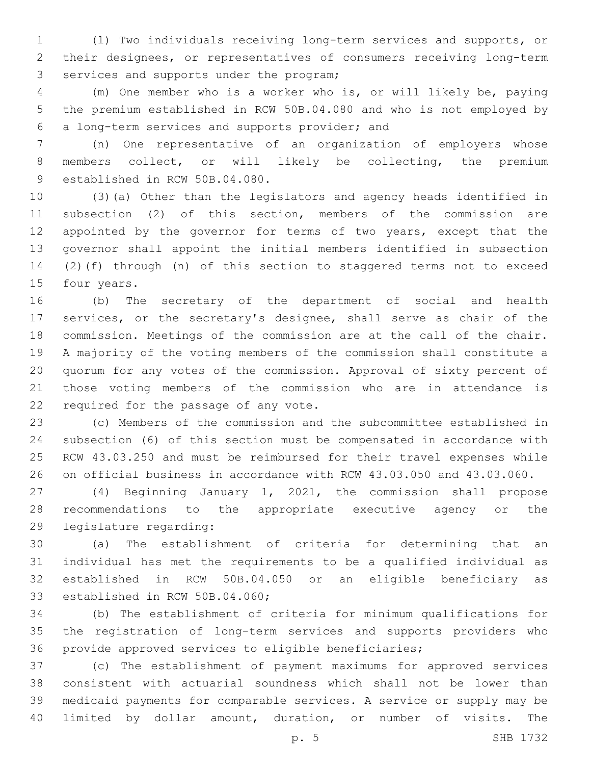(l) Two individuals receiving long-term services and supports, or their designees, or representatives of consumers receiving long-term 3 services and supports under the program;

 (m) One member who is a worker who is, or will likely be, paying the premium established in RCW 50B.04.080 and who is not employed by a long-term services and supports provider; and6

 (n) One representative of an organization of employers whose members collect, or will likely be collecting, the premium 9 established in RCW 50B.04.080.

 (3)(a) Other than the legislators and agency heads identified in subsection (2) of this section, members of the commission are 12 appointed by the governor for terms of two years, except that the governor shall appoint the initial members identified in subsection (2)(f) through (n) of this section to staggered terms not to exceed 15 four years.

 (b) The secretary of the department of social and health services, or the secretary's designee, shall serve as chair of the commission. Meetings of the commission are at the call of the chair. A majority of the voting members of the commission shall constitute a quorum for any votes of the commission. Approval of sixty percent of those voting members of the commission who are in attendance is 22 required for the passage of any vote.

 (c) Members of the commission and the subcommittee established in subsection (6) of this section must be compensated in accordance with RCW 43.03.250 and must be reimbursed for their travel expenses while on official business in accordance with RCW 43.03.050 and 43.03.060.

 (4) Beginning January 1, 2021, the commission shall propose recommendations to the appropriate executive agency or the 29 legislature regarding:

 (a) The establishment of criteria for determining that an individual has met the requirements to be a qualified individual as established in RCW 50B.04.050 or an eligible beneficiary as 33 established in RCW 50B.04.060;

 (b) The establishment of criteria for minimum qualifications for the registration of long-term services and supports providers who provide approved services to eligible beneficiaries;

 (c) The establishment of payment maximums for approved services consistent with actuarial soundness which shall not be lower than medicaid payments for comparable services. A service or supply may be limited by dollar amount, duration, or number of visits. The

p. 5 SHB 1732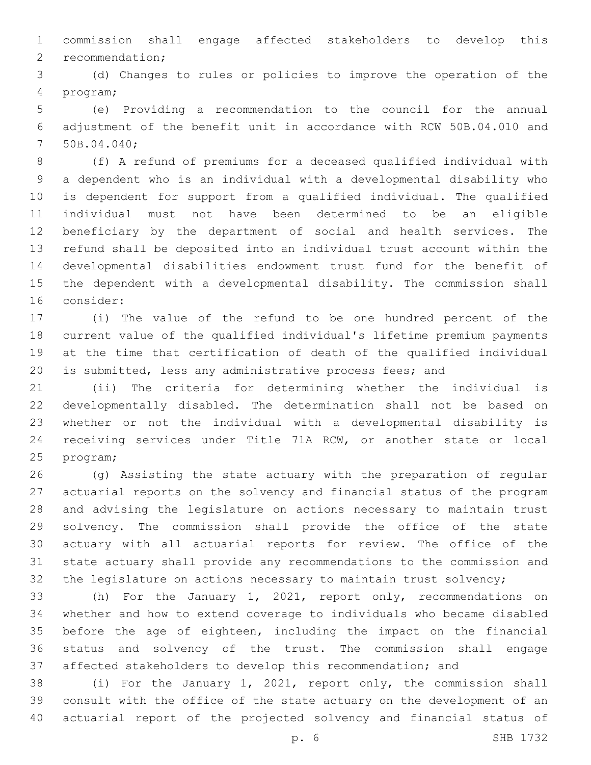commission shall engage affected stakeholders to develop this 2 recommendation;

 (d) Changes to rules or policies to improve the operation of the program;4

 (e) Providing a recommendation to the council for the annual adjustment of the benefit unit in accordance with RCW 50B.04.010 and 7 50B.04.040;

 (f) A refund of premiums for a deceased qualified individual with a dependent who is an individual with a developmental disability who is dependent for support from a qualified individual. The qualified individual must not have been determined to be an eligible beneficiary by the department of social and health services. The refund shall be deposited into an individual trust account within the developmental disabilities endowment trust fund for the benefit of the dependent with a developmental disability. The commission shall 16 consider:

 (i) The value of the refund to be one hundred percent of the current value of the qualified individual's lifetime premium payments at the time that certification of death of the qualified individual is submitted, less any administrative process fees; and

 (ii) The criteria for determining whether the individual is developmentally disabled. The determination shall not be based on whether or not the individual with a developmental disability is receiving services under Title 71A RCW, or another state or local 25 program;

 (g) Assisting the state actuary with the preparation of regular actuarial reports on the solvency and financial status of the program and advising the legislature on actions necessary to maintain trust solvency. The commission shall provide the office of the state actuary with all actuarial reports for review. The office of the state actuary shall provide any recommendations to the commission and 32 the legislature on actions necessary to maintain trust solvency;

 (h) For the January 1, 2021, report only, recommendations on whether and how to extend coverage to individuals who became disabled before the age of eighteen, including the impact on the financial status and solvency of the trust. The commission shall engage affected stakeholders to develop this recommendation; and

 (i) For the January 1, 2021, report only, the commission shall consult with the office of the state actuary on the development of an actuarial report of the projected solvency and financial status of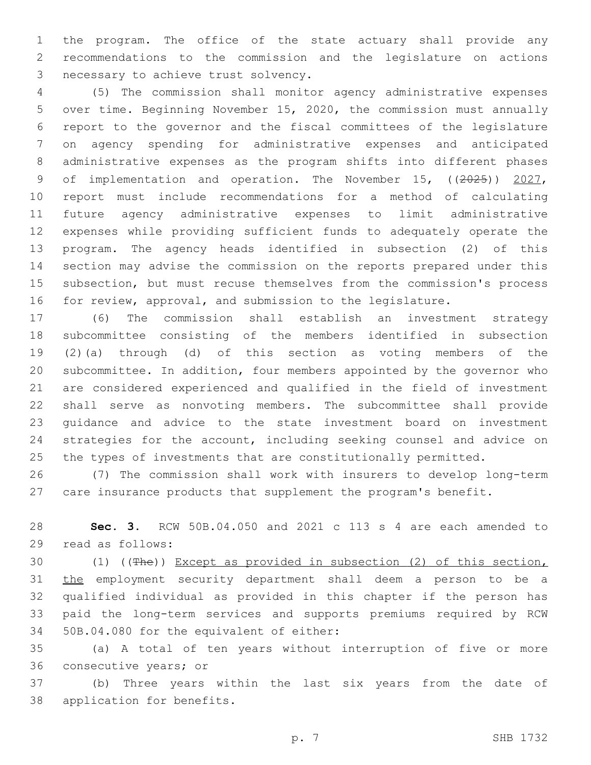the program. The office of the state actuary shall provide any recommendations to the commission and the legislature on actions 3 necessary to achieve trust solvency.

 (5) The commission shall monitor agency administrative expenses over time. Beginning November 15, 2020, the commission must annually report to the governor and the fiscal committees of the legislature on agency spending for administrative expenses and anticipated administrative expenses as the program shifts into different phases 9 of implementation and operation. The November 15, ((2025)) 2027, report must include recommendations for a method of calculating future agency administrative expenses to limit administrative expenses while providing sufficient funds to adequately operate the program. The agency heads identified in subsection (2) of this section may advise the commission on the reports prepared under this subsection, but must recuse themselves from the commission's process for review, approval, and submission to the legislature.

 (6) The commission shall establish an investment strategy subcommittee consisting of the members identified in subsection (2)(a) through (d) of this section as voting members of the subcommittee. In addition, four members appointed by the governor who are considered experienced and qualified in the field of investment shall serve as nonvoting members. The subcommittee shall provide guidance and advice to the state investment board on investment strategies for the account, including seeking counsel and advice on the types of investments that are constitutionally permitted.

 (7) The commission shall work with insurers to develop long-term care insurance products that supplement the program's benefit.

 **Sec. 3.** RCW 50B.04.050 and 2021 c 113 s 4 are each amended to read as follows:29

 (1) ((The)) Except as provided in subsection (2) of this section, 31 the employment security department shall deem a person to be a qualified individual as provided in this chapter if the person has paid the long-term services and supports premiums required by RCW 34 50B.04.080 for the equivalent of either:

 (a) A total of ten years without interruption of five or more 36 consecutive years; or

 (b) Three years within the last six years from the date of 38 application for benefits.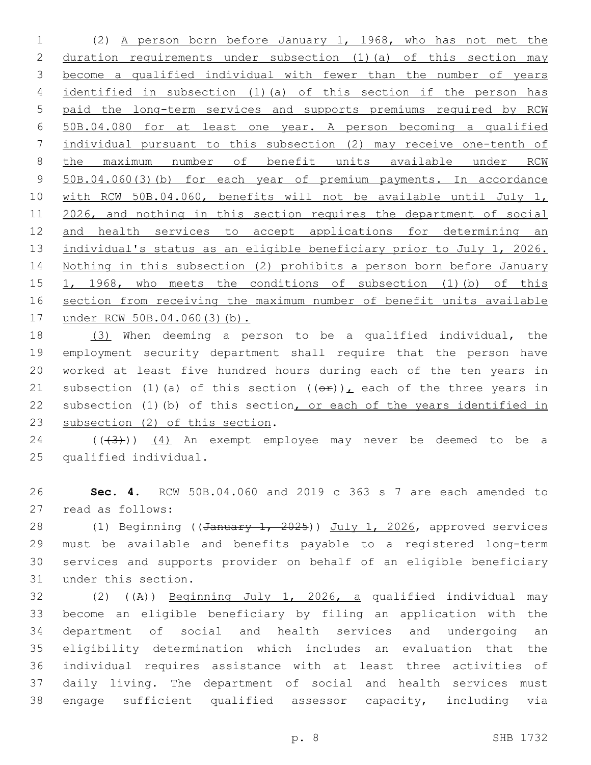(2) A person born before January 1, 1968, who has not met the duration requirements under subsection (1)(a) of this section may become a qualified individual with fewer than the number of years identified in subsection (1)(a) of this section if the person has paid the long-term services and supports premiums required by RCW 50B.04.080 for at least one year. A person becoming a qualified individual pursuant to this subsection (2) may receive one-tenth of the maximum number of benefit units available under RCW 50B.04.060(3)(b) for each year of premium payments. In accordance 10 with RCW 50B.04.060, benefits will not be available until July 1, 2026, and nothing in this section requires the department of social and health services to accept applications for determining an individual's status as an eligible beneficiary prior to July 1, 2026. Nothing in this subsection (2) prohibits a person born before January 1, 1968, who meets the conditions of subsection (1)(b) of this section from receiving the maximum number of benefit units available under RCW 50B.04.060(3)(b).

 (3) When deeming a person to be a qualified individual, the employment security department shall require that the person have worked at least five hundred hours during each of the ten years in 21 subsection (1)(a) of this section  $((\theta \hat{r}))_L$  each of the three years in subsection (1)(b) of this section, or each of the years identified in 23 subsection (2) of this section.

 ( $(\overline{3})$ )  $(4)$  An exempt employee may never be deemed to be a 25 qualified individual.

 **Sec. 4.** RCW 50B.04.060 and 2019 c 363 s 7 are each amended to 27 read as follows:

28 (1) Beginning ((January 1, 2025)) July 1, 2026, approved services must be available and benefits payable to a registered long-term services and supports provider on behalf of an eligible beneficiary 31 under this section.

32 (2) ((A)) Beginning July 1, 2026, a qualified individual may become an eligible beneficiary by filing an application with the department of social and health services and undergoing an eligibility determination which includes an evaluation that the individual requires assistance with at least three activities of daily living. The department of social and health services must engage sufficient qualified assessor capacity, including via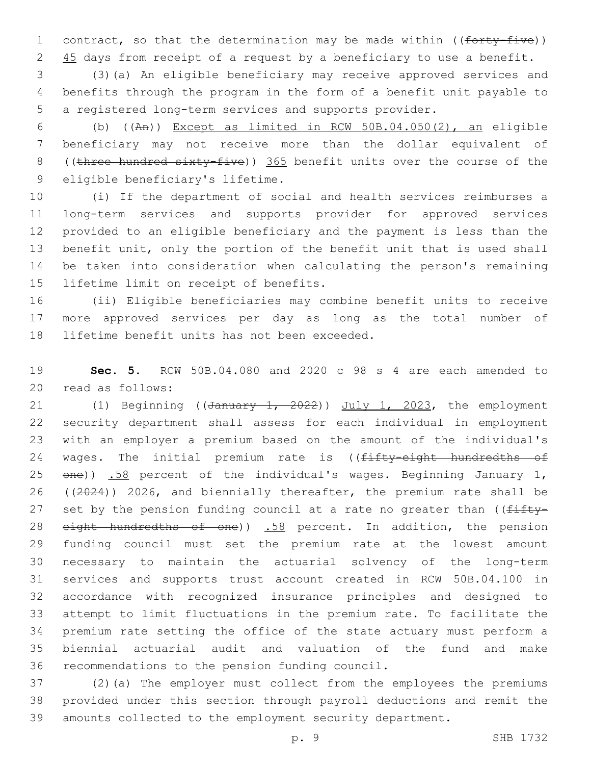1 contract, so that the determination may be made within ((forty-five)) 2 45 days from receipt of a request by a beneficiary to use a benefit.

 (3)(a) An eligible beneficiary may receive approved services and benefits through the program in the form of a benefit unit payable to a registered long-term services and supports provider.

 (b) ((An)) Except as limited in RCW 50B.04.050(2), an eligible beneficiary may not receive more than the dollar equivalent of 8 ((three hundred sixty-five)) 365 benefit units over the course of the 9 eligible beneficiary's lifetime.

 (i) If the department of social and health services reimburses a long-term services and supports provider for approved services provided to an eligible beneficiary and the payment is less than the benefit unit, only the portion of the benefit unit that is used shall be taken into consideration when calculating the person's remaining 15 lifetime limit on receipt of benefits.

 (ii) Eligible beneficiaries may combine benefit units to receive more approved services per day as long as the total number of 18 lifetime benefit units has not been exceeded.

 **Sec. 5.** RCW 50B.04.080 and 2020 c 98 s 4 are each amended to 20 read as follows:

21 (1) Beginning ((January 1, 2022)) July 1, 2023, the employment security department shall assess for each individual in employment with an employer a premium based on the amount of the individual's 24 wages. The initial premium rate is ((fifty-eight hundredths of  $en$ ) .58 percent of the individual's wages. Beginning January 1, 26 ((2024)) 2026, and biennially thereafter, the premium rate shall be 27 set by the pension funding council at a rate no greater than ((fifty-28 eight hundredths of one)) .58 percent. In addition, the pension funding council must set the premium rate at the lowest amount necessary to maintain the actuarial solvency of the long-term services and supports trust account created in RCW 50B.04.100 in accordance with recognized insurance principles and designed to attempt to limit fluctuations in the premium rate. To facilitate the premium rate setting the office of the state actuary must perform a biennial actuarial audit and valuation of the fund and make 36 recommendations to the pension funding council.

 (2)(a) The employer must collect from the employees the premiums provided under this section through payroll deductions and remit the amounts collected to the employment security department.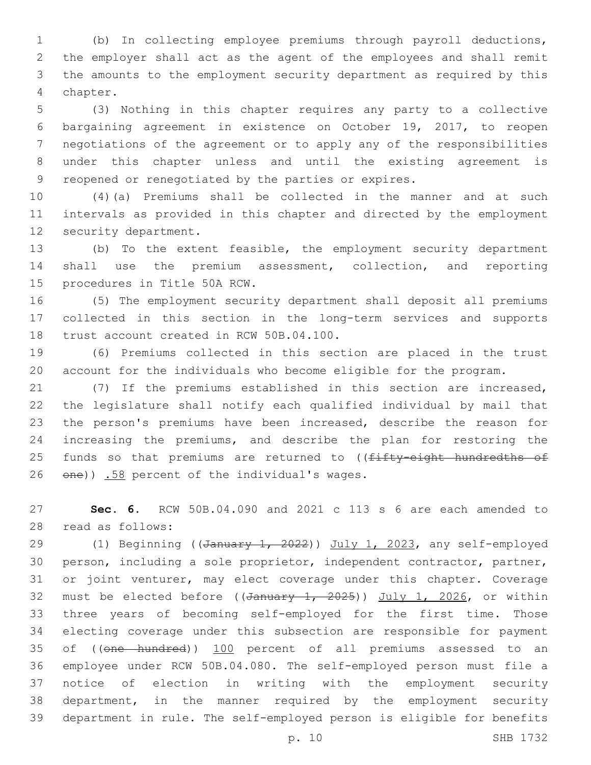(b) In collecting employee premiums through payroll deductions, the employer shall act as the agent of the employees and shall remit the amounts to the employment security department as required by this 4 chapter.

 (3) Nothing in this chapter requires any party to a collective bargaining agreement in existence on October 19, 2017, to reopen negotiations of the agreement or to apply any of the responsibilities under this chapter unless and until the existing agreement is reopened or renegotiated by the parties or expires.

 (4)(a) Premiums shall be collected in the manner and at such intervals as provided in this chapter and directed by the employment 12 security department.

 (b) To the extent feasible, the employment security department shall use the premium assessment, collection, and reporting 15 procedures in Title 50A RCW.

 (5) The employment security department shall deposit all premiums collected in this section in the long-term services and supports 18 trust account created in RCW 50B.04.100.

 (6) Premiums collected in this section are placed in the trust account for the individuals who become eligible for the program.

 (7) If the premiums established in this section are increased, the legislature shall notify each qualified individual by mail that the person's premiums have been increased, describe the reason for increasing the premiums, and describe the plan for restoring the 25 funds so that premiums are returned to ((fifty-eight hundredths of 26 one)) .58 percent of the individual's wages.

 **Sec. 6.** RCW 50B.04.090 and 2021 c 113 s 6 are each amended to read as follows:28

29 (1) Beginning ((January 1, 2022)) July 1, 2023, any self-employed person, including a sole proprietor, independent contractor, partner, or joint venturer, may elect coverage under this chapter. Coverage 32 must be elected before ((January 1, 2025)) July 1, 2026, or within three years of becoming self-employed for the first time. Those electing coverage under this subsection are responsible for payment 35 of ((one hundred)) 100 percent of all premiums assessed to an employee under RCW 50B.04.080. The self-employed person must file a notice of election in writing with the employment security department, in the manner required by the employment security department in rule. The self-employed person is eligible for benefits

p. 10 SHB 1732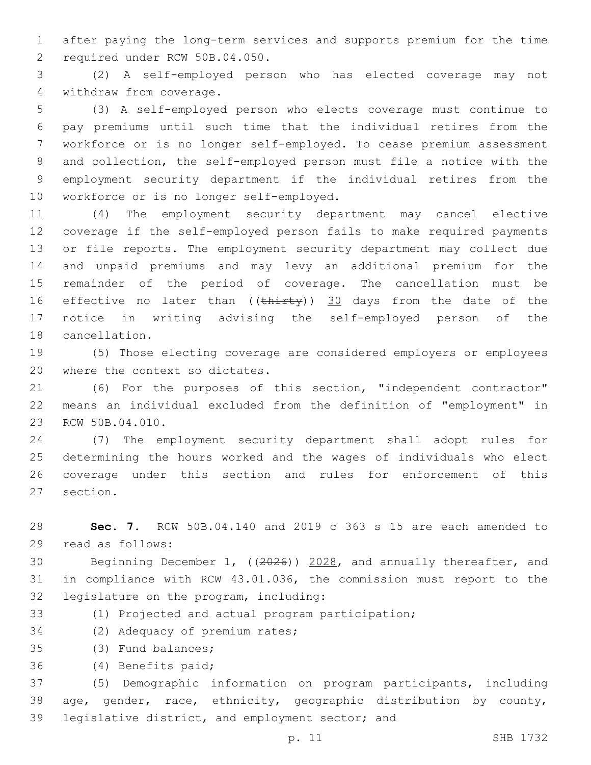1 after paying the long-term services and supports premium for the time 2 required under RCW 50B.04.050.

3 (2) A self-employed person who has elected coverage may not 4 withdraw from coverage.

 (3) A self-employed person who elects coverage must continue to pay premiums until such time that the individual retires from the workforce or is no longer self-employed. To cease premium assessment and collection, the self-employed person must file a notice with the employment security department if the individual retires from the 10 workforce or is no longer self-employed.

 (4) The employment security department may cancel elective coverage if the self-employed person fails to make required payments or file reports. The employment security department may collect due and unpaid premiums and may levy an additional premium for the remainder of the period of coverage. The cancellation must be 16 effective no later than ((thirty)) 30 days from the date of the notice in writing advising the self-employed person of the 18 cancellation.

19 (5) Those electing coverage are considered employers or employees 20 where the context so dictates.

21 (6) For the purposes of this section, "independent contractor" 22 means an individual excluded from the definition of "employment" in 23 RCW 50B.04.010.

 (7) The employment security department shall adopt rules for determining the hours worked and the wages of individuals who elect coverage under this section and rules for enforcement of this 27 section.

28 **Sec. 7.** RCW 50B.04.140 and 2019 c 363 s 15 are each amended to 29 read as follows:

30 Beginning December 1, ((2026)) 2028, and annually thereafter, and 31 in compliance with RCW 43.01.036, the commission must report to the 32 legislature on the program, including:

33 (1) Projected and actual program participation;

34 (2) Adequacy of premium rates;

35 (3) Fund balances;

(4) Benefits paid;36

37 (5) Demographic information on program participants, including 38 age, gender, race, ethnicity, geographic distribution by county, 39 legislative district, and employment sector; and